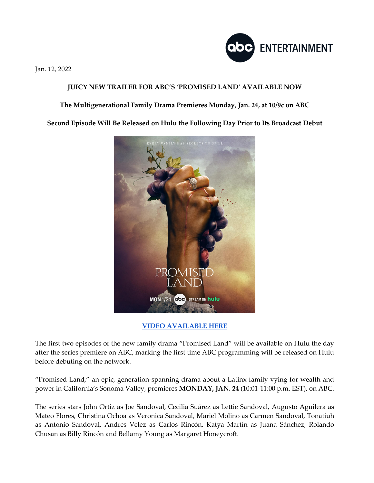

Jan. 12, 2022

## **JUICY NEW TRAILER FOR ABC'S 'PROMISED LAND' AVAILABLE NOW**

## **The Multigenerational Family Drama Premieres Monday, Jan. 24, at 10/9c on ABC**

**Second Episode Will Be Released on Hulu the Following Day Prior to Its Broadcast Debut**



## **VIDEO AVAILABLE HERE**

The first two episodes of the new family drama "Promised Land" will be available on Hulu the day after the series premiere on ABC, marking the first time ABC programming will be released on Hulu before debuting on the network.

"Promised Land," an epic, generation-spanning drama about a Latinx family vying for wealth and power in California's Sonoma Valley, premieres **MONDAY, JAN. 24** (10:01-11:00 p.m. EST), on ABC.

The series stars John Ortiz as Joe Sandoval, Cecilia Suárez as Lettie Sandoval, Augusto Aguilera as Mateo Flores, Christina Ochoa as Veronica Sandoval, Mariel Molino as Carmen Sandoval, Tonatiuh as Antonio Sandoval, Andres Velez as Carlos Rincón, Katya Martín as Juana Sánchez, Rolando Chusan as Billy Rincón and Bellamy Young as Margaret Honeycroft.